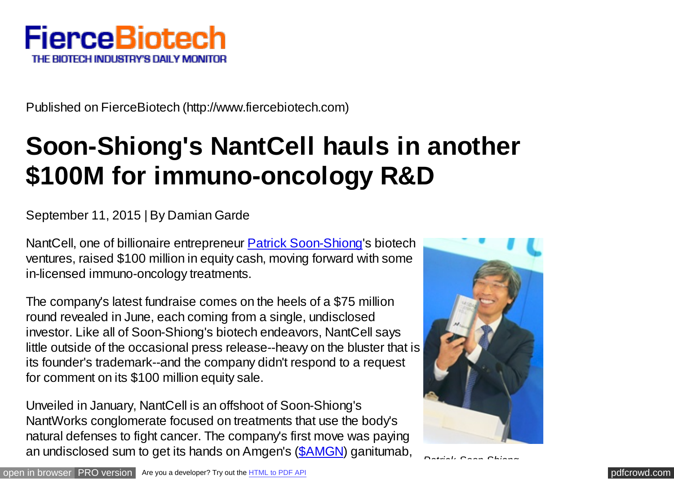

Published on FierceBiotech (http://www.fiercebiotech.com)

## **Soon-Shiong's NantCell hauls in another \$100M for immuno-oncology R&D**

## September 11, 2015 | By Damian Garde

NantCell, one of billionaire entrepreneur [Patrick Soon-Shiong](http://www.fiercebiotech.com/tags/dr-patrick-soon-shiong)'s biotech ventures, raised \$100 million in equity cash, moving forward with some in-licensed immuno-oncology treatments.

The company's latest fundraise comes on the heels of a \$75 million round revealed in June, each coming from a single, undisclosed investor. Like all of Soon-Shiong's biotech endeavors, NantCell says little outside of the occasional press release--heavy on the bluster that is its founder's trademark--and the company didn't respond to a request for comment on its \$100 million equity sale.

Unveiled in January, NantCell is an offshoot of Soon-Shiong's NantWorks conglomerate focused on treatments that use the body's natural defenses to fight cancer. The company's first move was paying an undisclosed sum to get its hands on Amgen's [\(\\$AMGN\)](http://www.fiercebiotech.com/tags/amgen) ganitumab,



*Patrick Soon-Shiong*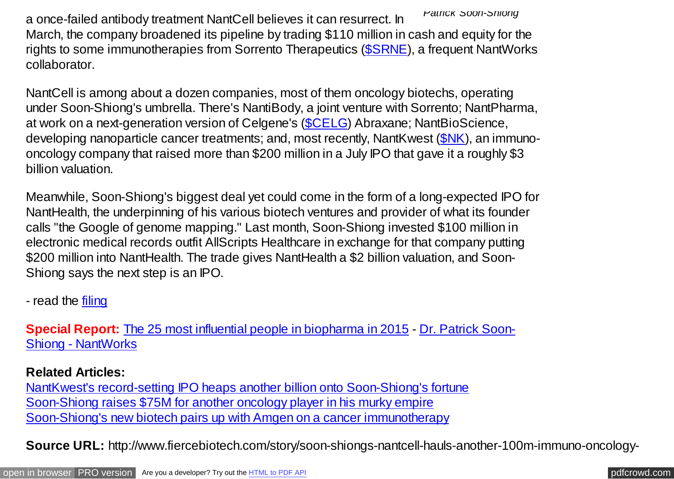*Patrick Soon-Shiong* a once-failed antibody treatment NantCell believes it can resurrect. In March, the company broadened its pipeline by trading \$110 million in cash and equity for the rights to some immunotherapies from Sorrento Therapeutics [\(\\$SRNE\)](http://www.fiercebiotech.com/tags/sorrento-therapeutics), a frequent NantWorks collaborator.

NantCell is among about a dozen companies, most of them oncology biotechs, operating under Soon-Shiong's umbrella. There's NantiBody, a joint venture with Sorrento; NantPharma, at work on a next-generation version of Celgene's (**\$CELG**) Abraxane; NantBioScience, developing nanoparticle cancer treatments; and, most recently, NantKwest [\(\\$NK\)](http://www.fiercebiotech.com/tags/nantkwest), an immunooncology company that raised more than \$200 million in a July IPO that gave it a roughly \$3 billion valuation.

Meanwhile, Soon-Shiong's biggest deal yet could come in the form of a long-expected IPO for NantHealth, the underpinning of his various biotech ventures and provider of what its founder calls "the Google of genome mapping." Last month, Soon-Shiong invested \$100 million in electronic medical records outfit AllScripts Healthcare in exchange for that company putting \$200 million into NantHealth. The trade gives NantHealth a \$2 billion valuation, and Soon-Shiong says the next step is an IPO.

- read the [filing](http://www.sec.gov/Archives/edgar/data/1642116/000164211615000002/xslFormDX01/primary_doc.xml)

**Special Report:** [The 25 most influential people in biopharma in 2015 - Dr. Patrick Soon-](http://www.fiercebiotech.com/special-reports/influentials-2015-dr-patrick-soon-shiong-nantworks)Shiong - NantWorks

**Related Articles:**

[NantKwest's record-setting IPO heaps another billion onto Soon-Shiong's fortune](http://www.fiercebiotech.com/story/nantkwests-record-setting-ipo-heaps-another-billion-soon-shiongs-fortune/2015-08-07) [Soon-Shiong raises \\$75M for another oncology player in his murky empire](http://www.fiercebiotech.com/story/soon-shiong-raises-75m-another-oncology-player-his-murky-empire/2015-06-03) [Soon-Shiong's new biotech pairs up with Amgen on a cancer immunotherapy](http://www.fiercebiotech.com/story/soon-shiongs-new-biotech-pairs-amgen-cancer-immunotherapy/2015-01-14)

**Source URL:** http://www.fiercebiotech.com/story/soon-shiongs-nantcell-hauls-another-100m-immuno-oncology-